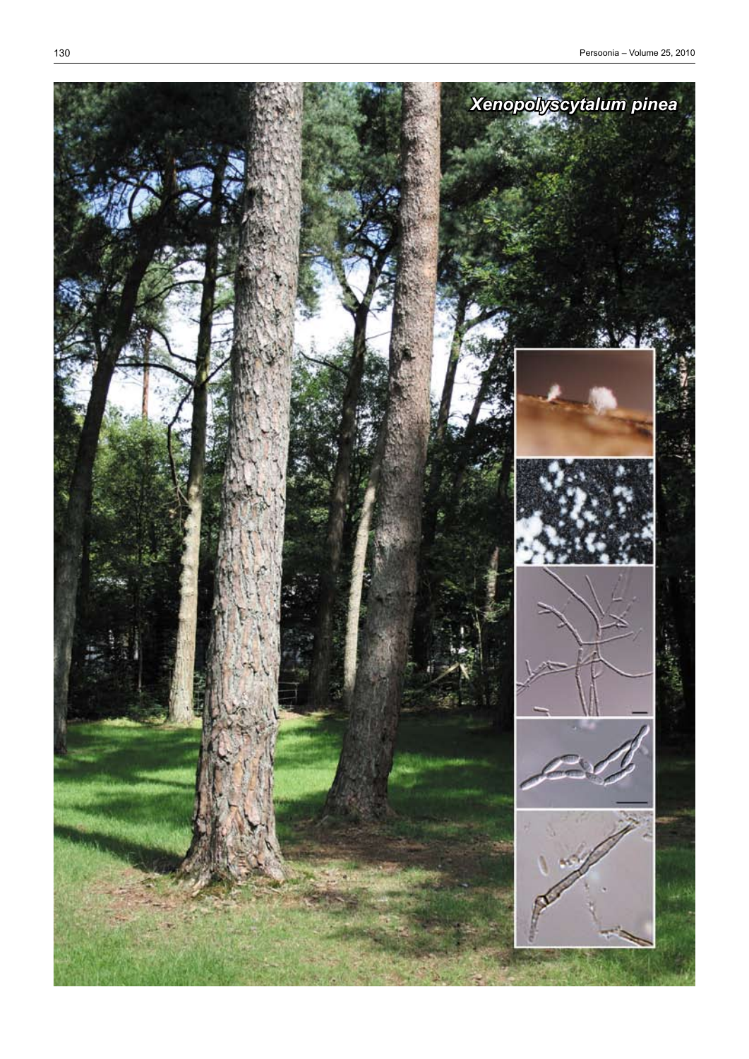